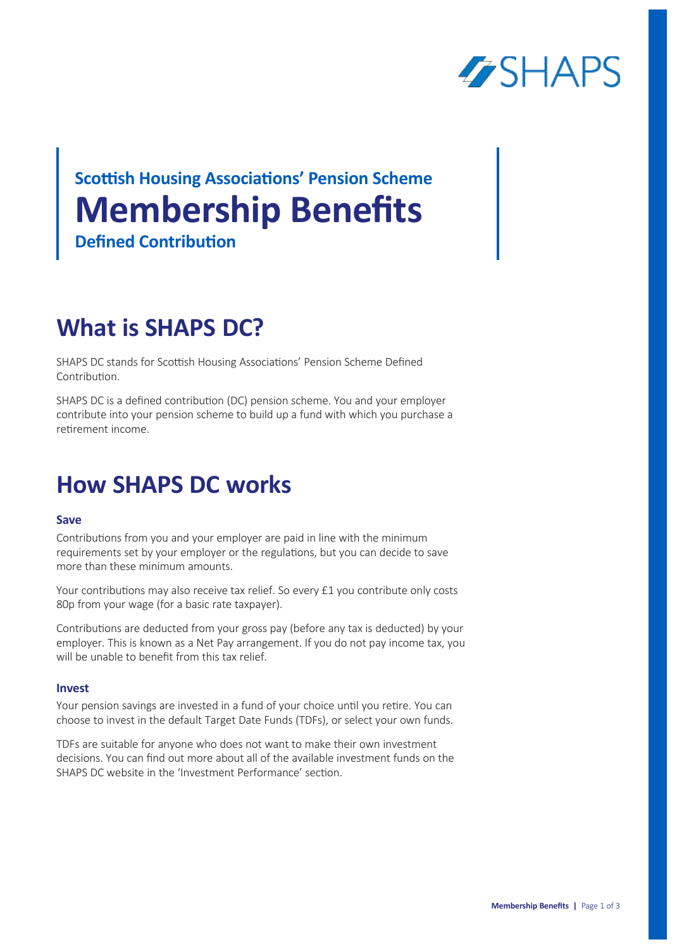

# **Membership Benefits Scottish Housing Associations' Pension Scheme Defined Contribution**

## **What is SHAPS DC?**

SHAPS DC stands for Scottish Housing Associations' Pension Scheme Defined Contribution.

SHAPS DC is a defined contribution (DC) pension scheme. You and your employer contribute into your pension scheme to build up a fund with which you purchase a retirement income.

### **How SHAPS DC works**

### **Save**

Contributions from you and your employer are paid in line with the minimum requirements set by your employer or the regulations, but you can decide to save more than these minimum amounts.

Your contributions may also receive tax relief. So every £1 you contribute only costs 80p from your wage (for a basic rate taxpayer).

Contributions are deducted from your gross pay (before any tax is deducted) by your employer. This is known as a Net Pay arrangement. If you do not pay income tax, you will be unable to benefit from this tax relief.

### **Invest**

Your pension savings are invested in a fund of your choice until you retire. You can choose to invest in the default Target Date Funds (TDFs), or select your own funds.

TDFs are suitable for anyone who does not want to make their own investment decisions. You can find out more about all of the available investment funds on the SHAPS DC website in the 'Investment Performance' section.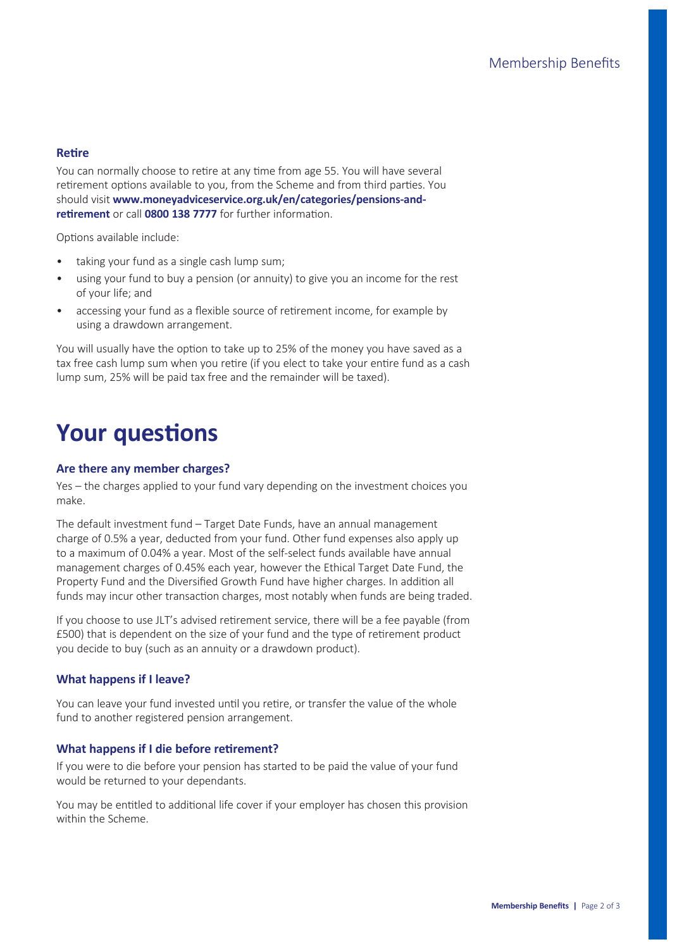### **Retire**

You can normally choose to retire at any time from age 55. You will have several retirement options available to you, from the Scheme and from third parties. You should visit **www.moneyadviceservice.org.uk/en/categories/pensions-andretirement** or call **0800 138 7777** for further information.

Options available include:

- taking your fund as a single cash lump sum;
- using your fund to buy a pension (or annuity) to give you an income for the rest of your life; and
- accessing your fund as a flexible source of retirement income, for example by using a drawdown arrangement.

You will usually have the option to take up to 25% of the money you have saved as a tax free cash lump sum when you retire (if you elect to take your entire fund as a cash lump sum, 25% will be paid tax free and the remainder will be taxed).

### **Your questions**

### **Are there any member charges?**

Yes – the charges applied to your fund vary depending on the investment choices you make.

The default investment fund – Target Date Funds, have an annual management charge of 0.5% a year, deducted from your fund. Other fund expenses also apply up to a maximum of 0.04% a year. Most of the self-select funds available have annual management charges of 0.45% each year, however the Ethical Target Date Fund, the Property Fund and the Diversified Growth Fund have higher charges. In addition all funds may incur other transaction charges, most notably when funds are being traded.

If you choose to use JLT's advised retirement service, there will be a fee payable (from £500) that is dependent on the size of your fund and the type of retirement product you decide to buy (such as an annuity or a drawdown product).

### **What happens if I leave?**

You can leave your fund invested until you retire, or transfer the value of the whole fund to another registered pension arrangement.

#### **What happens if I die before retirement?**

If you were to die before your pension has started to be paid the value of your fund would be returned to your dependants.

You may be entitled to additional life cover if your employer has chosen this provision within the Scheme.